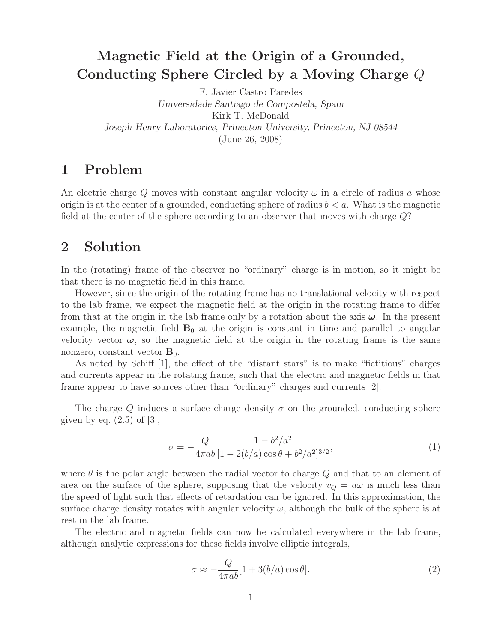## **Magnetic Field at the Origin of a Grounded, Conducting Sphere Circled by a Moving Charge** Q

F. Javier Castro Paredes *Universidade Santiago de Compostela, Spain* Kirk T. McDonald *Joseph Henry Laboratories, Princeton University, Princeton, NJ 08544* (June 26, 2008)

## **1 Problem**

An electric charge Q moves with constant angular velocity  $\omega$  in a circle of radius a whose origin is at the center of a grounded, conducting sphere of radius  $b < a$ . What is the magnetic field at the center of the sphere according to an observer that moves with charge Q?

## **2 Solution**

In the (rotating) frame of the observer no "ordinary" charge is in motion, so it might be that there is no magnetic field in this frame.

However, since the origin of the rotating frame has no translational velocity with respect to the lab frame, we expect the magnetic field at the origin in the rotating frame to differ from that at the origin in the lab frame only by a rotation about the axis *ω*. In the present example, the magnetic field  $B_0$  at the origin is constant in time and parallel to angular velocity vector  $\omega$ , so the magnetic field at the origin in the rotating frame is the same nonzero, constant vector  $\mathbf{B}_0$ .

As noted by Schiff [1], the effect of the "distant stars" is to make "fictitious" charges and currents appear in the rotating frame, such that the electric and magnetic fields in that frame appear to have sources other than "ordinary" charges and currents [2].

The charge Q induces a surface charge density  $\sigma$  on the grounded, conducting sphere given by eq.  $(2.5)$  of  $[3]$ ,

$$
\sigma = -\frac{Q}{4\pi ab} \frac{1 - b^2/a^2}{[1 - 2(b/a)\cos\theta + b^2/a^2]^{3/2}},\tag{1}
$$

where  $\theta$  is the polar angle between the radial vector to charge Q and that to an element of area on the surface of the sphere, supposing that the velocity  $v_Q = a\omega$  is much less than the speed of light such that effects of retardation can be ignored. In this approximation, the surface charge density rotates with angular velocity  $\omega$ , although the bulk of the sphere is at rest in the lab frame.

The electric and magnetic fields can now be calculated everywhere in the lab frame, although analytic expressions for these fields involve elliptic integrals,

$$
\sigma \approx -\frac{Q}{4\pi ab}[1+3(b/a)\cos\theta].\tag{2}
$$